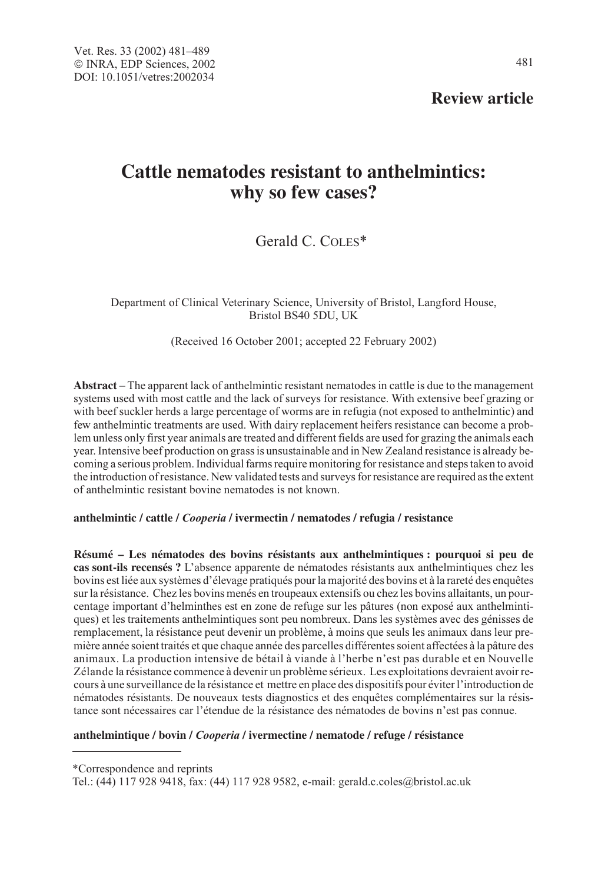**Review article**

# **Cattle nematodes resistant to anthelmintics: why so few cases?**

Gerald C. COLES\*

Department of Clinical Veterinary Science, University of Bristol, Langford House, Bristol BS40 5DU, UK

(Received 16 October 2001; accepted 22 February 2002)

**Abstract** – The apparent lack of anthelmintic resistant nematodes in cattle is due to the management systems used with most cattle and the lack of surveys for resistance. With extensive beef grazing or with beef suckler herds a large percentage of worms are in refugia (not exposed to anthelmintic) and few anthelmintic treatments are used. With dairy replacement heifers resistance can become a problem unless only first year animals are treated and different fields are used for grazing the animals each year. Intensive beef production on grass is unsustainable and in New Zealand resistance is already becoming a serious problem. Individual farms require monitoring for resistance and steps taken to avoid the introduction of resistance. New validated tests and surveys for resistance are required as the extent of anthelmintic resistant bovine nematodes is not known.

## **anthelmintic / cattle /** Cooperia **/ ivermectin / nematodes / refugia / resistance**

**Résumé – Les nématodes des bovins résistants aux anthelmintiques : pourquoi si peu de cas sont-ils recensés ?** L'absence apparente de nématodes résistants aux anthelmintiques chez les bovins est liée aux systèmes d'élevage pratiqués pour la majorité des bovins et à la rareté des enquêtes sur la résistance. Chez les bovins menés en troupeaux extensifs ou chez les bovins allaitants, un pourcentage important d'helminthes est en zone de refuge sur les pâtures (non exposé aux anthelmintiques) et les traitements anthelmintiques sont peu nombreux. Dans les systèmes avec des génisses de remplacement, la résistance peut devenir un problème, à moins que seuls les animaux dans leur première année soient traités et que chaque année des parcelles différentes soient affectées à la pâture des animaux. La production intensive de bétail à viande à l'herbe n'est pas durable et en Nouvelle Zélande la résistance commence à devenir un problème sérieux. Les exploitations devraient avoir recours à une surveillance de la résistance et mettre en place des dispositifs pour éviter l'introduction de nématodes résistants. De nouveaux tests diagnostics et des enquêtes complémentaires sur la résistance sont nécessaires car l'étendue de la résistance des nématodes de bovins n'est pas connue.

## **anthelmintique / bovin /** Cooperia **/ ivermectine / nematode / refuge / résistance**

\*Correspondence and reprints

Tel.: (44) 117 928 9418, fax: (44) 117 928 9582, e-mail: gerald.c.coles@bristol.ac.uk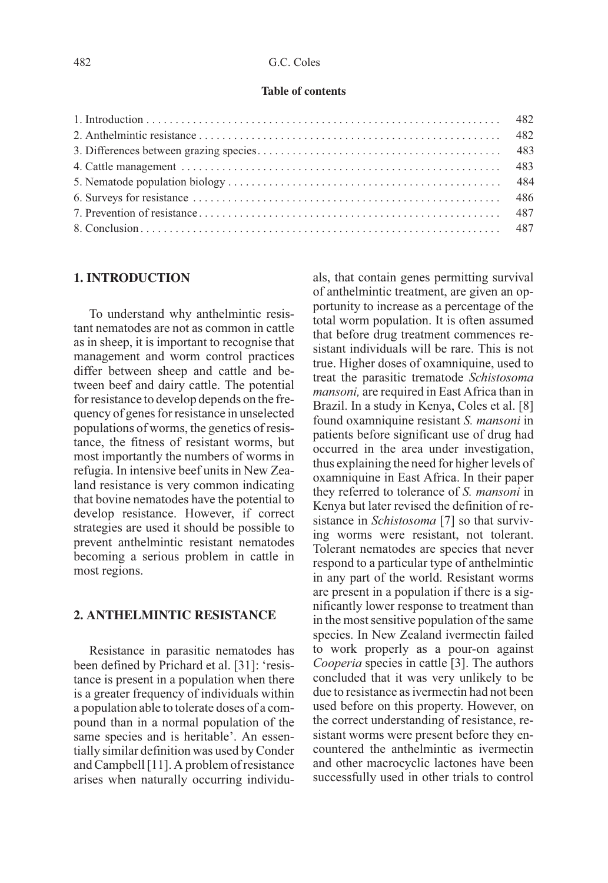#### **Table of contents**

## **1. INTRODUCTION**

To understand why anthelmintic resistant nematodes are not as common in cattle as in sheep, it is important to recognise that management and worm control practices differ between sheep and cattle and between beef and dairy cattle. The potential for resistance to develop depends on the frequency of genes for resistance in unselected populations of worms, the genetics of resistance, the fitness of resistant worms, but most importantly the numbers of worms in refugia. In intensive beef units in New Zealand resistance is very common indicating that bovine nematodes have the potential to develop resistance. However, if correct strategies are used it should be possible to prevent anthelmintic resistant nematodes becoming a serious problem in cattle in most regions.

## **2. ANTHELMINTIC RESISTANCE**

Resistance in parasitic nematodes has been defined by Prichard et al. [31]: 'resistance is present in a population when there is a greater frequency of individuals within a population able to tolerate doses of a compound than in a normal population of the same species and is heritable'. An essentially similar definition was used by Conder and Campbell [11]. A problem of resistance arises when naturally occurring individuals, that contain genes permitting survival of anthelmintic treatment, are given an opportunity to increase as a percentage of the total worm population. It is often assumed that before drug treatment commences resistant individuals will be rare. This is not true. Higher doses of oxamniquine, used to treat the parasitic trematode Schistosoma mansoni, are required in East Africa than in Brazil. In a study in Kenya, Coles et al. [8] found oxamniquine resistant S. mansoni in patients before significant use of drug had occurred in the area under investigation, thus explaining the need for higher levels of oxamniquine in East Africa. In their paper they referred to tolerance of S. mansoni in Kenya but later revised the definition of resistance in *Schistosoma* [7] so that surviving worms were resistant, not tolerant. Tolerant nematodes are species that never respond to a particular type of anthelmintic in any part of the world. Resistant worms are present in a population if there is a significantly lower response to treatment than in the most sensitive population of the same species. In New Zealand ivermectin failed to work properly as a pour-on against Cooperia species in cattle [3]. The authors concluded that it was very unlikely to be due to resistance as ivermectin had not been used before on this property. However, on the correct understanding of resistance, resistant worms were present before they encountered the anthelmintic as ivermectin and other macrocyclic lactones have been successfully used in other trials to control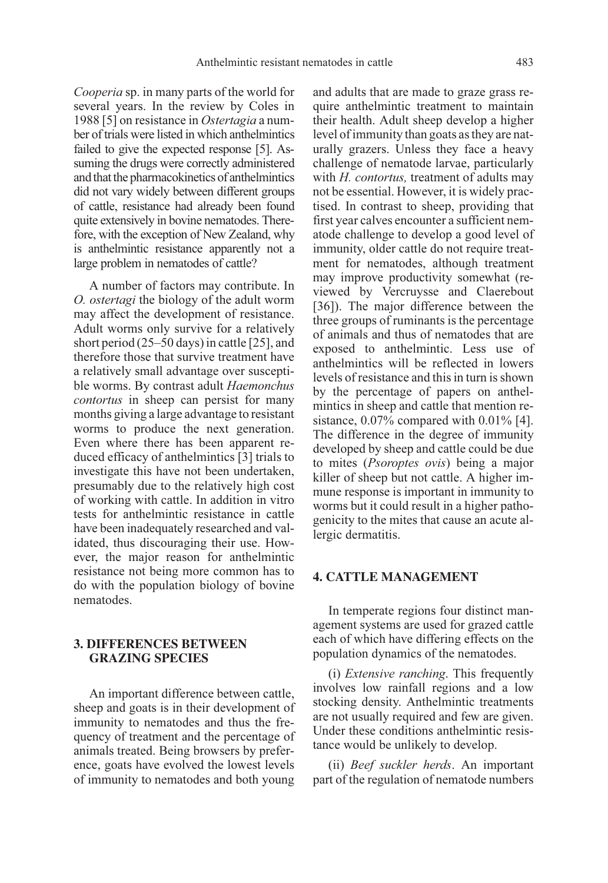Cooperia sp. in many parts of the world for several years. In the review by Coles in 1988 [5] on resistance in Ostertagia a number of trials were listed in which anthelmintics failed to give the expected response [5]. Assuming the drugs were correctly administered and that the pharmacokinetics of anthelmintics did not vary widely between different groups of cattle, resistance had already been found quite extensively in bovine nematodes. Therefore, with the exception of New Zealand, why is anthelmintic resistance apparently not a large problem in nematodes of cattle?

A number of factors may contribute. In O. ostertagi the biology of the adult worm may affect the development of resistance. Adult worms only survive for a relatively short period (25–50 days) in cattle [25], and therefore those that survive treatment have a relatively small advantage over susceptible worms. By contrast adult Haemonchus contortus in sheep can persist for many months giving a large advantage to resistant worms to produce the next generation. Even where there has been apparent reduced efficacy of anthelmintics [3] trials to investigate this have not been undertaken, presumably due to the relatively high cost of working with cattle. In addition in vitro tests for anthelmintic resistance in cattle have been inadequately researched and validated, thus discouraging their use. However, the major reason for anthelmintic resistance not being more common has to do with the population biology of bovine nematodes.

## **3. DIFFERENCES BETWEEN GRAZING SPECIES**

An important difference between cattle, sheep and goats is in their development of immunity to nematodes and thus the frequency of treatment and the percentage of animals treated. Being browsers by preference, goats have evolved the lowest levels of immunity to nematodes and both young and adults that are made to graze grass require anthelmintic treatment to maintain their health. Adult sheep develop a higher level of immunity than goats as they are naturally grazers. Unless they face a heavy challenge of nematode larvae, particularly with  $H.$  contortus, treatment of adults may not be essential. However, it is widely practised. In contrast to sheep, providing that first year calves encounter a sufficient nematode challenge to develop a good level of immunity, older cattle do not require treatment for nematodes, although treatment may improve productivity somewhat (reviewed by Vercruysse and Claerebout [36]). The major difference between the three groups of ruminants is the percentage of animals and thus of nematodes that are exposed to anthelmintic. Less use of anthelmintics will be reflected in lowers levels of resistance and this in turn is shown by the percentage of papers on anthelmintics in sheep and cattle that mention resistance, 0.07% compared with 0.01% [4]. The difference in the degree of immunity developed by sheep and cattle could be due to mites (Psoroptes ovis) being a major killer of sheep but not cattle. A higher immune response is important in immunity to worms but it could result in a higher pathogenicity to the mites that cause an acute allergic dermatitis.

#### **4. CATTLE MANAGEMENT**

In temperate regions four distinct management systems are used for grazed cattle each of which have differing effects on the population dynamics of the nematodes.

(i) Extensive ranching. This frequently involves low rainfall regions and a low stocking density. Anthelmintic treatments are not usually required and few are given. Under these conditions anthelmintic resistance would be unlikely to develop.

(ii) Beef suckler herds. An important part of the regulation of nematode numbers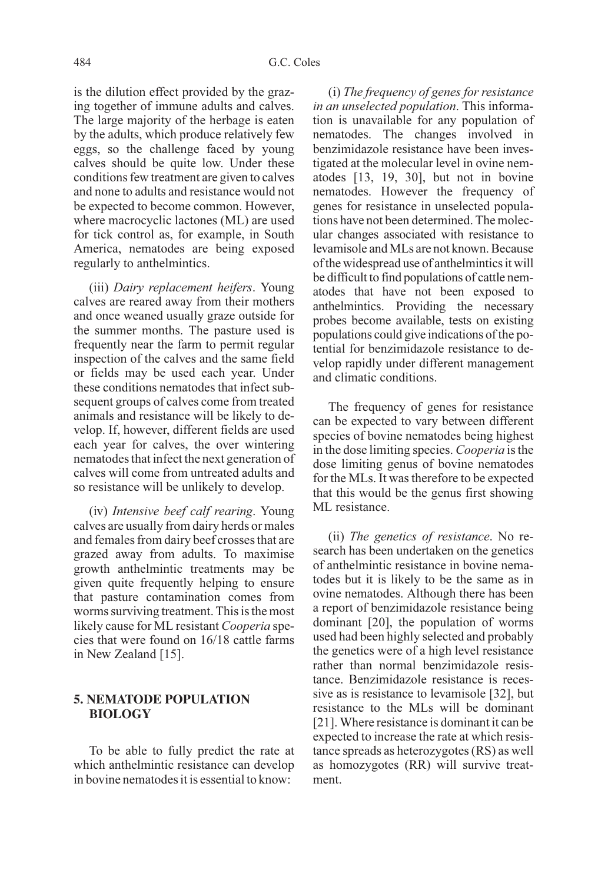is the dilution effect provided by the grazing together of immune adults and calves. The large majority of the herbage is eaten by the adults, which produce relatively few eggs, so the challenge faced by young calves should be quite low. Under these conditions few treatment are given to calves and none to adults and resistance would not be expected to become common. However, where macrocyclic lactones (ML) are used for tick control as, for example, in South America, nematodes are being exposed regularly to anthelmintics.

(iii) Dairy replacement heifers. Young calves are reared away from their mothers and once weaned usually graze outside for the summer months. The pasture used is frequently near the farm to permit regular inspection of the calves and the same field or fields may be used each year. Under these conditions nematodes that infect subsequent groups of calves come from treated animals and resistance will be likely to develop. If, however, different fields are used each year for calves, the over wintering nematodes that infect the next generation of calves will come from untreated adults and so resistance will be unlikely to develop.

(iv) Intensive beef calf rearing. Young calves are usually from dairy herds or males and females from dairy beef crosses that are grazed away from adults. To maximise growth anthelmintic treatments may be given quite frequently helping to ensure that pasture contamination comes from worms surviving treatment. This is the most likely cause for ML resistant Cooperia species that were found on 16/18 cattle farms in New Zealand [15].

## **5. NEMATODE POPULATION BIOLOGY**

To be able to fully predict the rate at which anthelmintic resistance can develop in bovine nematodes it is essential to know:

(i) The frequency of genes for resistance in an unselected population. This information is unavailable for any population of nematodes. The changes involved in benzimidazole resistance have been investigated at the molecular level in ovine nematodes [13, 19, 30], but not in bovine nematodes. However the frequency of genes for resistance in unselected populations have not been determined. The molecular changes associated with resistance to levamisole and MLs are not known. Because of the widespread use of anthelmintics it will be difficult to find populations of cattle nematodes that have not been exposed to anthelmintics. Providing the necessary probes become available, tests on existing populations could give indications of the potential for benzimidazole resistance to develop rapidly under different management and climatic conditions.

The frequency of genes for resistance can be expected to vary between different species of bovine nematodes being highest in the dose limiting species. Cooperia is the dose limiting genus of bovine nematodes for the MLs. It was therefore to be expected that this would be the genus first showing ML resistance.

(ii) The genetics of resistance. No research has been undertaken on the genetics of anthelmintic resistance in bovine nematodes but it is likely to be the same as in ovine nematodes. Although there has been a report of benzimidazole resistance being dominant [20], the population of worms used had been highly selected and probably the genetics were of a high level resistance rather than normal benzimidazole resistance. Benzimidazole resistance is recessive as is resistance to levamisole [32], but resistance to the MLs will be dominant [21]. Where resistance is dominant it can be expected to increase the rate at which resistance spreads as heterozygotes (RS) as well as homozygotes (RR) will survive treatment.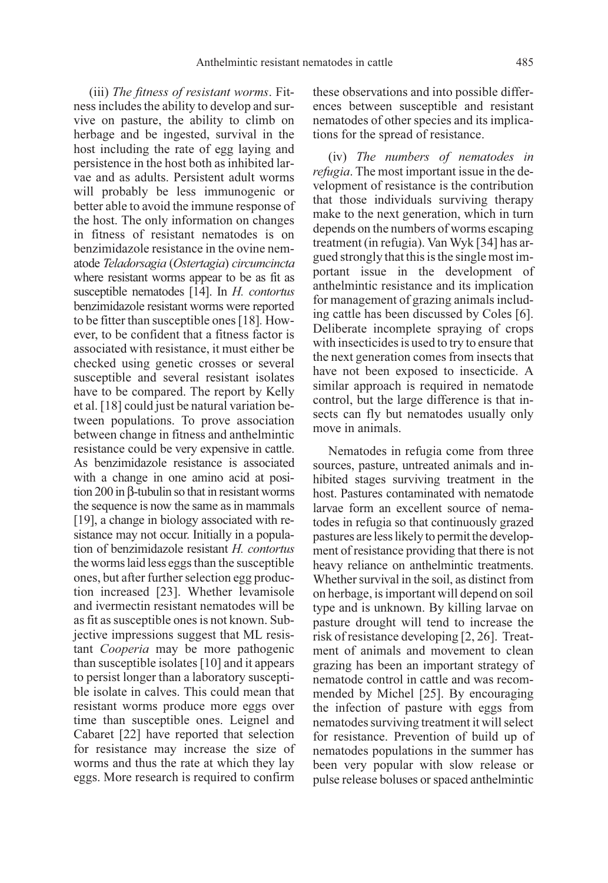(iii) The fitness of resistant worms. Fitness includes the ability to develop and survive on pasture, the ability to climb on herbage and be ingested, survival in the host including the rate of egg laying and persistence in the host both as inhibited larvae and as adults. Persistent adult worms will probably be less immunogenic or better able to avoid the immune response of the host. The only information on changes in fitness of resistant nematodes is on benzimidazole resistance in the ovine nematode Teladorsagia (Ostertagia) circumcincta where resistant worms appear to be as fit as susceptible nematodes [14]. In *H. contortus* benzimidazole resistant worms were reported to be fitter than susceptible ones [18]. However, to be confident that a fitness factor is associated with resistance, it must either be checked using genetic crosses or several susceptible and several resistant isolates have to be compared. The report by Kelly et al. [18] could just be natural variation between populations. To prove association between change in fitness and anthelmintic resistance could be very expensive in cattle. As benzimidazole resistance is associated with a change in one amino acid at position 200 in β-tubulin so that in resistant worms the sequence is now the same as in mammals [19], a change in biology associated with resistance may not occur. Initially in a population of benzimidazole resistant H. contortus the worms laid less eggs than the susceptible ones, but after further selection egg production increased [23]. Whether levamisole and ivermectin resistant nematodes will be as fit as susceptible ones is not known. Subjective impressions suggest that ML resistant Cooperia may be more pathogenic than susceptible isolates [10] and it appears to persist longer than a laboratory susceptible isolate in calves. This could mean that resistant worms produce more eggs over time than susceptible ones. Leignel and Cabaret [22] have reported that selection for resistance may increase the size of worms and thus the rate at which they lay eggs. More research is required to confirm these observations and into possible differences between susceptible and resistant nematodes of other species and its implications for the spread of resistance.

(iv) The numbers of nematodes in refugia. The most important issue in the development of resistance is the contribution that those individuals surviving therapy make to the next generation, which in turn depends on the numbers of worms escaping treatment (in refugia). Van Wyk [34] has argued strongly that this is the single most important issue in the development of anthelmintic resistance and its implication for management of grazing animals including cattle has been discussed by Coles [6]. Deliberate incomplete spraying of crops with insecticides is used to try to ensure that the next generation comes from insects that have not been exposed to insecticide. A similar approach is required in nematode control, but the large difference is that insects can fly but nematodes usually only move in animals.

Nematodes in refugia come from three sources, pasture, untreated animals and inhibited stages surviving treatment in the host. Pastures contaminated with nematode larvae form an excellent source of nematodes in refugia so that continuously grazed pastures are less likely to permit the development of resistance providing that there is not heavy reliance on anthelmintic treatments. Whether survival in the soil, as distinct from on herbage, is important will depend on soil type and is unknown. By killing larvae on pasture drought will tend to increase the risk of resistance developing [2, 26]. Treatment of animals and movement to clean grazing has been an important strategy of nematode control in cattle and was recommended by Michel [25]. By encouraging the infection of pasture with eggs from nematodes surviving treatment it will select for resistance. Prevention of build up of nematodes populations in the summer has been very popular with slow release or pulse release boluses or spaced anthelmintic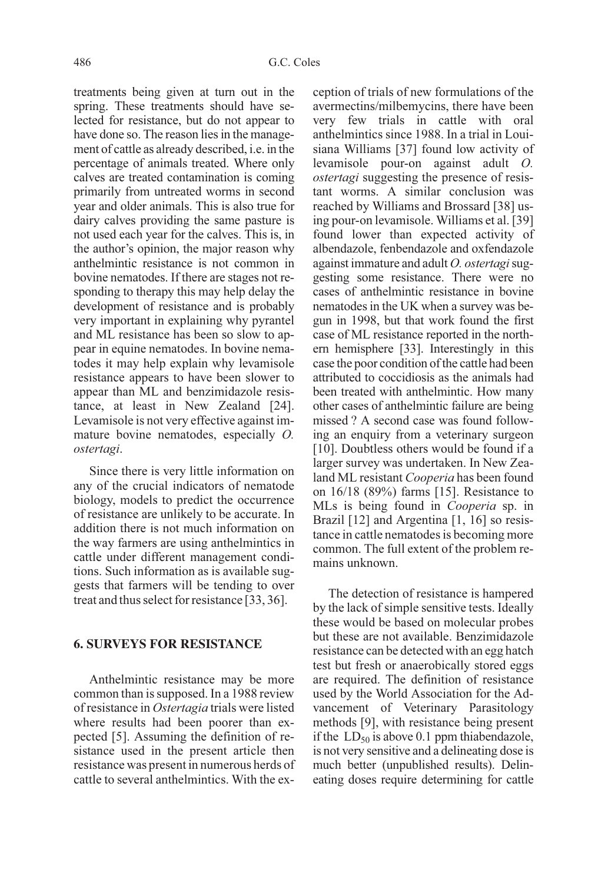treatments being given at turn out in the spring. These treatments should have selected for resistance, but do not appear to have done so. The reason lies in the management of cattle as already described, i.e. in the percentage of animals treated. Where only calves are treated contamination is coming primarily from untreated worms in second year and older animals. This is also true for dairy calves providing the same pasture is not used each year for the calves. This is, in the author's opinion, the major reason why anthelmintic resistance is not common in bovine nematodes. If there are stages not responding to therapy this may help delay the development of resistance and is probably very important in explaining why pyrantel and ML resistance has been so slow to appear in equine nematodes. In bovine nematodes it may help explain why levamisole resistance appears to have been slower to appear than ML and benzimidazole resistance, at least in New Zealand [24]. Levamisole is not very effective against immature bovine nematodes, especially O. ostertagi.

Since there is very little information on any of the crucial indicators of nematode biology, models to predict the occurrence of resistance are unlikely to be accurate. In addition there is not much information on the way farmers are using anthelmintics in cattle under different management conditions. Such information as is available suggests that farmers will be tending to over treat and thus select for resistance [33, 36].

## **6. SURVEYS FOR RESISTANCE**

Anthelmintic resistance may be more common than is supposed. In a 1988 review of resistance in Ostertagia trials were listed where results had been poorer than expected [5]. Assuming the definition of resistance used in the present article then resistance was present in numerous herds of cattle to several anthelmintics. With the exception of trials of new formulations of the avermectins/milbemycins, there have been very few trials in cattle with oral anthelmintics since 1988. In a trial in Louisiana Williams [37] found low activity of levamisole pour-on against adult O. ostertagi suggesting the presence of resistant worms. A similar conclusion was reached by Williams and Brossard [38] using pour-on levamisole. Williams et al. [39] found lower than expected activity of albendazole, fenbendazole and oxfendazole against immature and adult O. ostertagi suggesting some resistance. There were no cases of anthelmintic resistance in bovine nematodes in the UK when a survey was begun in 1998, but that work found the first case of ML resistance reported in the northern hemisphere [33]. Interestingly in this case the poor condition of the cattle had been attributed to coccidiosis as the animals had been treated with anthelmintic. How many other cases of anthelmintic failure are being missed ? A second case was found following an enquiry from a veterinary surgeon [10]. Doubtless others would be found if a larger survey was undertaken. In New Zealand ML resistant Cooperia has been found on 16/18 (89%) farms [15]. Resistance to MLs is being found in Cooperia sp. in Brazil [12] and Argentina [1, 16] so resistance in cattle nematodes is becoming more common. The full extent of the problem remains unknown.

The detection of resistance is hampered by the lack of simple sensitive tests. Ideally these would be based on molecular probes but these are not available. Benzimidazole resistance can be detected with an egg hatch test but fresh or anaerobically stored eggs are required. The definition of resistance used by the World Association for the Advancement of Veterinary Parasitology methods [9], with resistance being present if the  $LD_{50}$  is above 0.1 ppm thiabendazole, is not very sensitive and a delineating dose is much better (unpublished results). Delineating doses require determining for cattle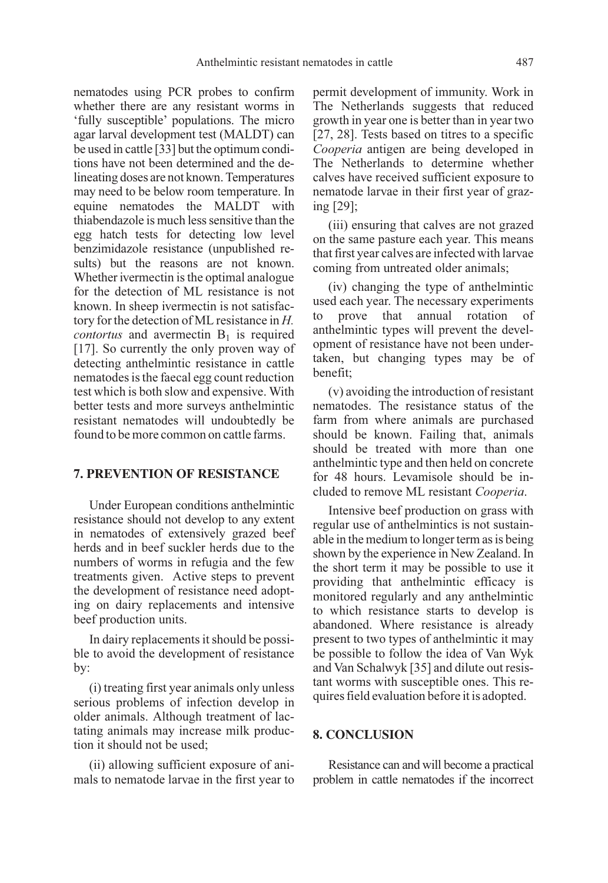nematodes using PCR probes to confirm whether there are any resistant worms in 'fully susceptible' populations. The micro agar larval development test (MALDT) can be used in cattle [33] but the optimum conditions have not been determined and the delineating doses are not known. Temperatures may need to be below room temperature. In equine nematodes the MALDT with thiabendazole is much less sensitive than the egg hatch tests for detecting low level benzimidazole resistance (unpublished results) but the reasons are not known. Whether ivermectin is the optimal analogue for the detection of ML resistance is not known. In sheep ivermectin is not satisfactory for the detection of ML resistance in H. *contortus* and avermectin  $B_1$  is required [17]. So currently the only proven way of detecting anthelmintic resistance in cattle nematodes is the faecal egg count reduction test which is both slow and expensive. With better tests and more surveys anthelmintic resistant nematodes will undoubtedly be found to be more common on cattle farms.

## **7. PREVENTION OF RESISTANCE**

Under European conditions anthelmintic resistance should not develop to any extent in nematodes of extensively grazed beef herds and in beef suckler herds due to the numbers of worms in refugia and the few treatments given. Active steps to prevent the development of resistance need adopting on dairy replacements and intensive beef production units.

In dairy replacements it should be possible to avoid the development of resistance by:

(i) treating first year animals only unless serious problems of infection develop in older animals. Although treatment of lactating animals may increase milk production it should not be used;

(ii) allowing sufficient exposure of animals to nematode larvae in the first year to permit development of immunity. Work in The Netherlands suggests that reduced growth in year one is better than in year two [27, 28]. Tests based on titres to a specific Cooperia antigen are being developed in The Netherlands to determine whether calves have received sufficient exposure to nematode larvae in their first year of grazing [29];

(iii) ensuring that calves are not grazed on the same pasture each year. This means that first year calves are infected with larvae coming from untreated older animals;

(iv) changing the type of anthelmintic used each year. The necessary experiments prove that annual rotation of anthelmintic types will prevent the development of resistance have not been undertaken, but changing types may be of benefit;

(v) avoiding the introduction of resistant nematodes. The resistance status of the farm from where animals are purchased should be known. Failing that, animals should be treated with more than one anthelmintic type and then held on concrete for 48 hours. Levamisole should be included to remove ML resistant Cooperia.

Intensive beef production on grass with regular use of anthelmintics is not sustainable in the medium to longer term as is being shown by the experience in New Zealand. In the short term it may be possible to use it providing that anthelmintic efficacy is monitored regularly and any anthelmintic to which resistance starts to develop is abandoned. Where resistance is already present to two types of anthelmintic it may be possible to follow the idea of Van Wyk and Van Schalwyk [35] and dilute out resistant worms with susceptible ones. This requires field evaluation before it is adopted.

#### **8. CONCLUSION**

Resistance can and will become a practical problem in cattle nematodes if the incorrect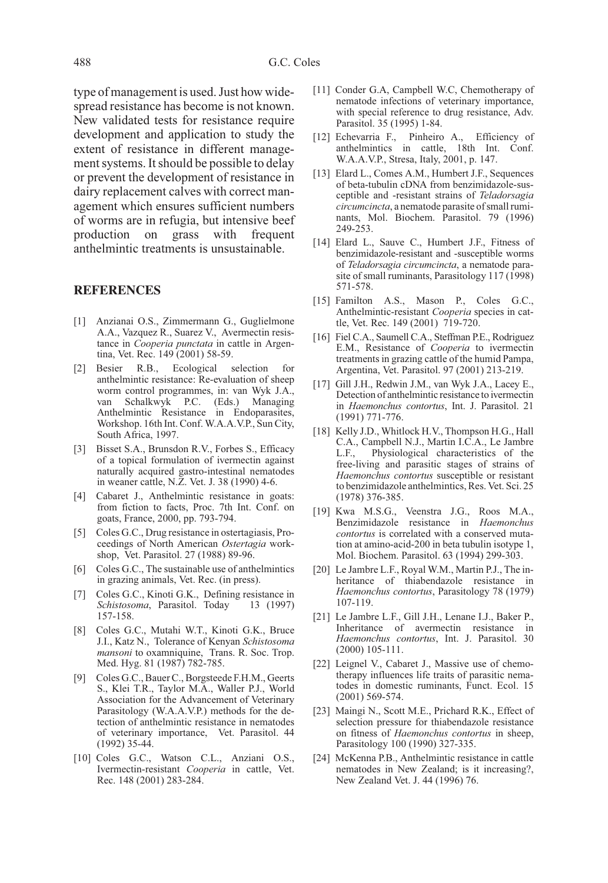type of management is used. Just how widespread resistance has become is not known. New validated tests for resistance require development and application to study the extent of resistance in different management systems. It should be possible to delay or prevent the development of resistance in dairy replacement calves with correct management which ensures sufficient numbers of worms are in refugia, but intensive beef production on grass with frequent anthelmintic treatments is unsustainable.

#### **REFERENCES**

- [1] Anzianai O.S., Zimmermann G., Guglielmone A.A., Vazquez R., Suarez V., Avermectin resistance in Cooperia punctata in cattle in Argentina, Vet. Rec. 149 (2001) 58-59.
- [2] Besier R.B., Ecological selection for anthelmintic resistance: Re-evaluation of sheep worm control programmes, in: van Wyk J.A., van Schalkwyk P.C. (Eds.) Managing Anthelmintic Resistance in Endoparasites, Workshop. 16th Int. Conf. W.A.A.V.P., Sun City, South Africa, 1997.
- [3] Bisset S.A., Brunsdon R.V., Forbes S., Efficacy of a topical formulation of ivermectin against naturally acquired gastro-intestinal nematodes in weaner cattle, N.Z. Vet. J. 38 (1990) 4-6.
- [4] Cabaret J., Anthelmintic resistance in goats: from fiction to facts, Proc. 7th Int. Conf. on goats, France, 2000, pp. 793-794.
- [5] Coles G.C., Drug resistance in ostertagiasis, Proceedings of North American Ostertagia workshop, Vet. Parasitol. 27 (1988) 89-96.
- [6] Coles G.C., The sustainable use of anthelmintics in grazing animals, Vet. Rec. (in press).
- [7] Coles G.C., Kinoti G.K., Defining resistance in Schistosoma, Parasitol. Today 13 (1997) 157-158.
- [8] Coles G.C., Mutahi W.T., Kinoti G.K., Bruce J.I., Katz N., Tolerance of Kenyan Schistosoma mansoni to oxamniquine, Trans. R. Soc. Trop. Med. Hyg. 81 (1987) 782-785.
- [9] Coles G.C., Bauer C., Borgsteede F.H.M., Geerts S., Klei T.R., Taylor M.A., Waller P.J., World Association for the Advancement of Veterinary Parasitology (W.A.A.V.P.) methods for the detection of anthelmintic resistance in nematodes of veterinary importance, Vet. Parasitol. 44 (1992) 35-44.
- [10] Coles G.C., Watson C.L., Anziani O.S., Ivermectin-resistant Cooperia in cattle, Vet. Rec. 148 (2001) 283-284.
- [11] Conder G.A, Campbell W.C, Chemotherapy of nematode infections of veterinary importance, with special reference to drug resistance, Adv. Parasitol. 35 (1995) 1-84.
- [12] Echevarria F., Pinheiro A., Efficiency of anthelmintics in cattle, 18th Int. Conf. W.A.A.V.P., Stresa, Italy, 2001, p. 147.
- [13] Elard L., Comes A.M., Humbert J.F., Sequences of beta-tubulin cDNA from benzimidazole-susceptible and -resistant strains of Teladorsagia circumcincta, a nematode parasite of small ruminants, Mol. Biochem. Parasitol. 79 (1996) 249-253.
- [14] Elard L., Sauve C., Humbert J.F., Fitness of benzimidazole-resistant and -susceptible worms of Teladorsagia circumcincta, a nematode parasite of small ruminants, Parasitology 117 (1998) 571-578.
- [15] Familton A.S., Mason P., Coles G.C., Anthelmintic-resistant Cooperia species in cattle, Vet. Rec. 149 (2001) 719-720.
- [16] Fiel C.A., Saumell C.A., Steffman P.E., Rodriguez E.M., Resistance of Cooperia to ivermectin treatments in grazing cattle of the humid Pampa, Argentina, Vet. Parasitol. 97 (2001) 213-219.
- [17] Gill J.H., Redwin J.M., van Wyk J.A., Lacey E., Detection of anthelmintic resistance to ivermectin in Haemonchus contortus, Int. J. Parasitol. 21 (1991) 771-776.
- [18] Kelly J.D., Whitlock H.V., Thompson H.G., Hall C.A., Campbell N.J., Martin I.C.A., Le Jambre<br>L.F., Physiological characteristics of the Physiological characteristics of the free-living and parasitic stages of strains of Haemonchus contortus susceptible or resistant to benzimidazole anthelmintics, Res. Vet. Sci. 25 (1978) 376-385.
- [19] Kwa M.S.G., Veenstra J.G., Roos M.A., Benzimidazole resistance in Haemonchus contortus is correlated with a conserved mutation at amino-acid-200 in beta tubulin isotype 1, Mol. Biochem. Parasitol. 63 (1994) 299-303.
- [20] Le Jambre L.F., Royal W.M., Martin P.J., The inheritance of thiabendazole resistance in Haemonchus contortus, Parasitology 78 (1979) 107-119.
- [21] Le Jambre L.F., Gill J.H., Lenane I.J., Baker P., Inheritance of avermectin resistance in Haemonchus contortus, Int. J. Parasitol. 30 (2000) 105-111.
- [22] Leignel V., Cabaret J., Massive use of chemotherapy influences life traits of parasitic nematodes in domestic ruminants, Funct. Ecol. 15 (2001) 569-574.
- [23] Maingi N., Scott M.E., Prichard R.K., Effect of selection pressure for thiabendazole resistance on fitness of Haemonchus contortus in sheep, Parasitology 100 (1990) 327-335.
- [24] McKenna P.B., Anthelmintic resistance in cattle nematodes in New Zealand; is it increasing?, New Zealand Vet. J. 44 (1996) 76.